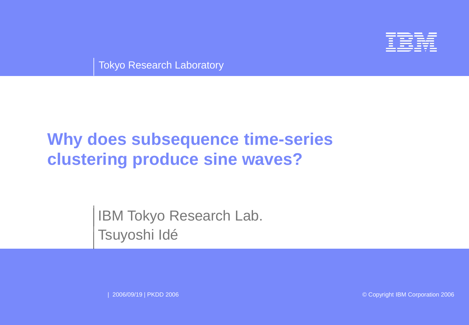

Tokyo Research Laboratory

# **Why does subsequence time-series clustering produce sine waves?**

IBM Tokyo Research Lab. Tsuyoshi Idé

| 2006/09/19 | PKDD 2006 © Copyright IBM Corporation 2006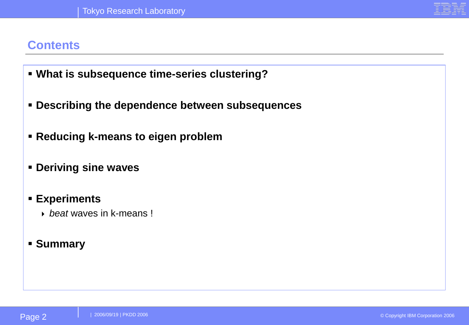#### **Contents**

- **What is subsequence time-series clustering?**
- **Describing the dependence between subsequences**
- **Reducing k-means to eigen problem**
- **Deriving sine waves**

#### ▪ **Experiments**

**b** heat waves in k-means!

#### ▪ **Summary**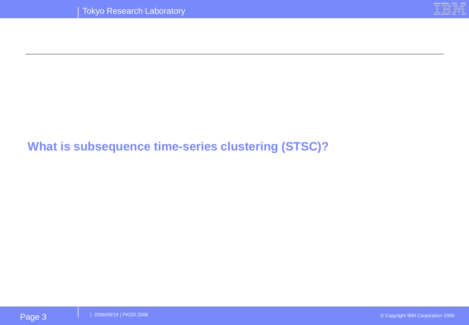

#### **What is subsequence time-series clustering (STSC)?**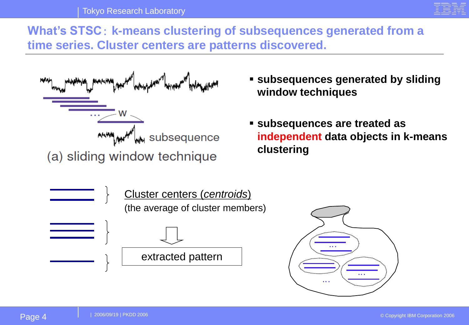

**What's STSC**: **k-means clustering of subsequences generated from a time series. Cluster centers are patterns discovered.**



- **subsequences generated by sliding window techniques**
- **subsequences are treated as independent data objects in k-means clustering**



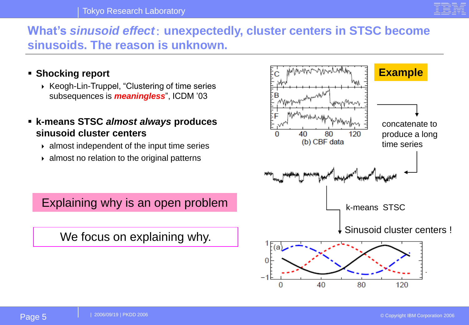

#### **What's** *sinusoid effect*: **unexpectedly, cluster centers in STSC become sinusoids. The reason is unknown.**

- **Shocking report**
	- ▶ Keogh-Lin-Truppel, "Clustering of time series subsequences is *meaningless*", ICDM '03
- **k-means STSC** *almost always* **produces sinusoid cluster centers**
	- $\rightarrow$  almost independent of the input time series
	- $\rightarrow$  almost no relation to the original patterns

Explaining why is an open problem

We focus on explaining why.

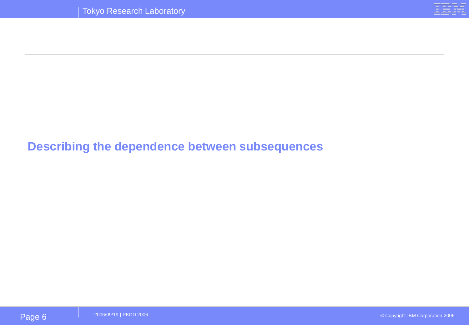

#### **Describing the dependence between subsequences**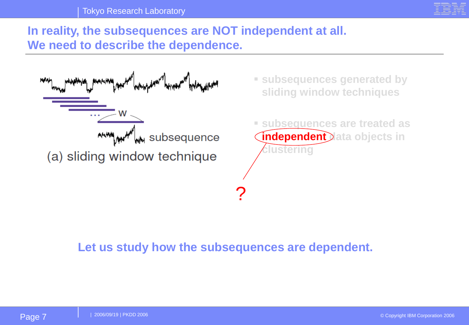

#### **In reality, the subsequences are NOT independent at all. We need to describe the dependence.**

| privatina pravarana paratana para parte di paratana di paratana parte paratana para<br>MMM | " subsequences generated by<br>sliding window techniques                                       |
|--------------------------------------------------------------------------------------------|------------------------------------------------------------------------------------------------|
| w<br>.<br><b>ANNAMAN SUbsequence</b><br>(a) sliding window technique                       | <b>Subsequences are treated as</b><br><b>Independent Data objects in</b><br><i>c</i> lustering |
|                                                                                            |                                                                                                |

**Let us study how the subsequences are dependent.**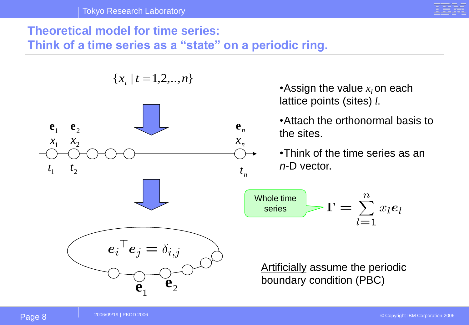

#### **Theoretical model for time series:**

**Think of a time series as a "state" on a periodic ring.**

 ${x<sub>t</sub> | t = 1, 2, ..., n}$ 



 $e_i^\top e_j = \delta_{i,j}$  $\mathbf{e}_1$  ${\bf e}_{\scriptscriptstyle 2}$ 

•Assign the value  $x_i$  on each lattice points (sites) *l.*

•Attach the orthonormal basis to the sites.

•Think of the time series as an *n*-D vector.

$$
\begin{array}{c}\n\text{Whole time} \\
\text{series}\n\end{array}\n\begin{array}{c}\n\Gamma = \sum_{l=1}^{n} x_l e_l\n\end{array}
$$

**Artificially assume the periodic** boundary condition (PBC)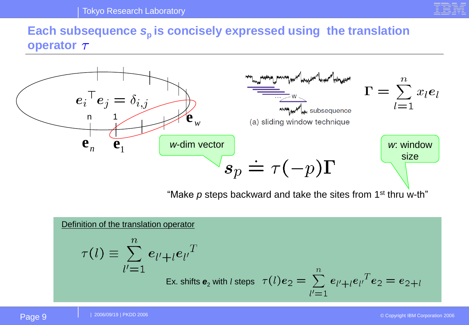

#### Each subsequence  $s_p$  is concisely expressed using the translation **operator**  $\tau$



"Make *p* steps backward and take the sites from 1st thru w-th"

#### Definition of the translation operator

$$
\tau(l) \equiv \sum_{l'=1}^{n} e_{l'+l} e_{l'}^T
$$
  
Ex. shifts  $e_2$  with *l* steps  $\tau(l)e_2 = \sum_{l'=1}^{n} e_{l'+l} e_{l'}^T e_2 = e_{2+l}$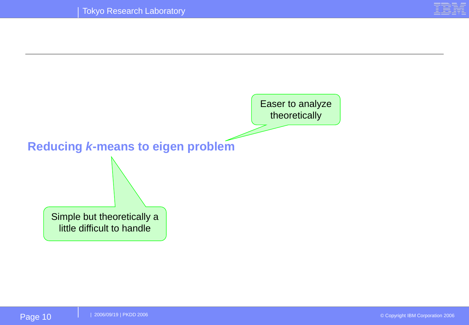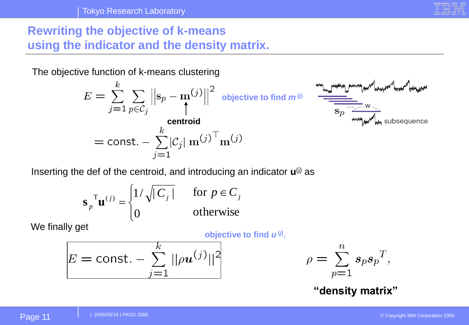

#### **Rewriting the objective of k-means using the indicator and the density matrix.**

The objective function of k-means clustering

$$
E = \sum_{j=1}^{k} \sum_{p \in C_j} \left\| \mathbf{s}_p - \mathbf{m}^{(j)} \right\|^2 \text{ objective to find } m^{\omega}
$$
  
centroid  
= const. -  $\sum_{j=1}^{k} |C_j| \mathbf{m}^{(j)} \mathbf{m}^{(j)}$ 

$$
\frac{M_{\text{max}} + M_{\text{max}} + M_{\text{max}} + M_{\text{max}} + M_{\text{max}} + M_{\text{max}} + M_{\text{max}} + M_{\text{max}} + M_{\text{max}} + M_{\text{max}} + M_{\text{max}} + M_{\text{max}} + M_{\text{max}} + M_{\text{max}} + M_{\text{max}} + M_{\text{max}} + M_{\text{max}} + M_{\text{max}} + M_{\text{max}} + M_{\text{max}} + M_{\text{max}} + M_{\text{max}} + M_{\text{max}} + M_{\text{max}} + M_{\text{max}} + M_{\text{max}} + M_{\text{max}} + M_{\text{max}} + M_{\text{max}} + M_{\text{max}} + M_{\text{max}} + M_{\text{max}} + M_{\text{max}} + M_{\text{max}} + M_{\text{max}} + M_{\text{max}} + M_{\text{max}} + M_{\text{max}} + M_{\text{max}} + M_{\text{max}} + M_{\text{max}} + M_{\text{max}} + M_{\text{max}} + M_{\text{max}} + M_{\text{max}} + M_{\text{max}} + M_{\text{max}} + M_{\text{max}} + M_{\text{max}} + M_{\text{max}} + M_{\text{max}} + M_{\text{max}} + M_{\text{max}} + M_{\text{max}} + M_{\text{max}} + M_{\text{max}} + M_{\text{max}} + M_{\text{max}} + M_{\text{max}} + M_{\text{max}} + M_{\text{max}} + M_{\text{max}} + M_{\text{max}} + M_{\text{max}} + M_{\text{max}} + M_{\text{max}} + M_{\text{max}} + M_{\text{max}} + M_{\text{max}} + M_{\text{max}} + M_{\text{max}} + M_{\text{max}} + M_{\text{max}} + M_{\text{max}} + M_{\text{max}} + M_{\text{max}} + M_{\text{max}} + M_{\text{max}} + M_{\text{max}} + M_{\text{max}} + M_{\text{max}} + M_{\text{max}} + M_{\text{max}} + M_{\text{max}} + M_{\text{max}} + M_{\text{max}} + M_{\text{max}} + M_{\text{max}} + M_{\text{max}} + M_{\text{max}} + M_{\text{max}} + M_{\text{max}} + M_{\text{max}} + M_{\text{max}} + M_{\text{
$$

Inserting the def of the centroid, and introducing an indicator **u**(j) as

$$
\mathbf{s}_p^{\mathrm{T}} \mathbf{u}^{(j)} = \begin{cases} 1/\sqrt{|C_j|} & \text{for } p \in C_j \\ 0 & \text{otherwise} \end{cases}
$$

We finally get

**objective to find** *u* **(***j***) .** 

$$
E = \text{const.} - \sum_{j=1}^{k} ||\rho \boldsymbol{u}^{(j)}||^2
$$

$$
\rho = \sum_{p=1}^{n} s_p s_p^T,
$$

**"density matrix"**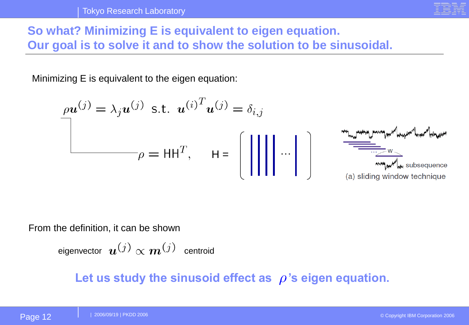

# **So what? Minimizing E is equivalent to eigen equation. Our goal is to solve it and to show the solution to be sinusoidal.**

Minimizing E is equivalent to the eigen equation:

$$
\rho \mathbf{u}^{(j)} = \lambda_j \mathbf{u}^{(j)} \text{ s.t. } \mathbf{u}^{(i)^T} \mathbf{u}^{(j)} = \delta_{i,j}
$$
\n
$$
\rho = HH^T, \quad H = \begin{bmatrix} \begin{bmatrix} \begin{bmatrix} \begin{bmatrix} \begin{bmatrix} \begin{bmatrix} \begin{bmatrix} \begin{bmatrix} \end{bmatrix} \\ \end{bmatrix} \\ \end{bmatrix} \\ \begin{bmatrix} \begin{bmatrix} \begin{bmatrix} \end{bmatrix} \\ \end{bmatrix} \\ \end{bmatrix} \end{bmatrix} \end{bmatrix} \end{bmatrix} \end{bmatrix} \end{bmatrix} \begin{bmatrix} \begin{bmatrix} \begin{bmatrix} \begin{bmatrix} \begin{bmatrix} \begin{bmatrix} \end{bmatrix} \\ \end{bmatrix} \\ \begin{bmatrix} \begin{bmatrix} \begin{bmatrix} \begin{bmatrix} \end{bmatrix} \\ \end{bmatrix} \\ \begin{bmatrix} \begin{bmatrix} \begin{bmatrix} \end{bmatrix} \\ \end{bmatrix} \end{bmatrix} \end{bmatrix} \end{bmatrix} \end{bmatrix} \end{bmatrix} \end{bmatrix}
$$
\n(a) sliding window technique

From the definition, it can be shown

eigenvector  $\bm{u}^{(j)} \propto \bm{m}^{(j)}$  centroid

Let us study the sinusoid effect as  $\rho$ 's eigen equation.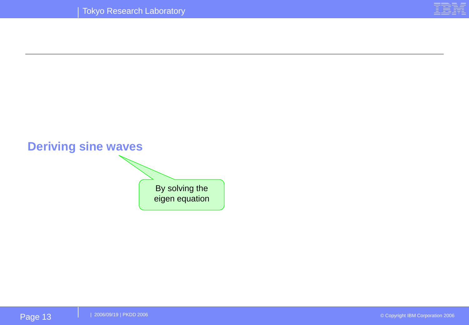

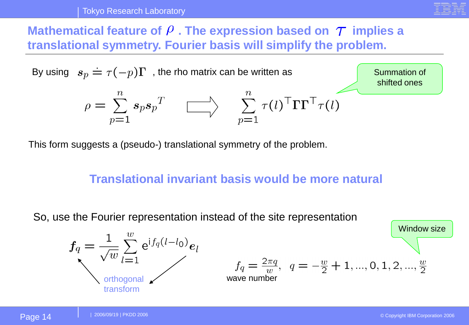

#### **Mathematical feature of**  $\rho$  **. The expression based on**  $\tau$  **implies a translational symmetry. Fourier basis will simplify the problem.**



This form suggests a (pseudo-) translational symmetry of the problem.

#### **Translational invariant basis would be more natural**

So, use the Fourier representation instead of the site representation

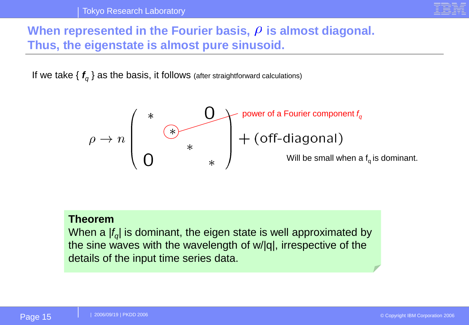

#### When represented in the Fourier basis,  $\rho$  is almost diagonal. **Thus, the eigenstate is almost pure sinusoid.**

If we take {  $f_q$  } as the basis, it follows (after straightforward calculations)



#### **Theorem**

When a *|f<sup>q</sup> |* is dominant, the eigen state is well approximated by the sine waves with the wavelength of w/|q|, irrespective of the details of the input time series data.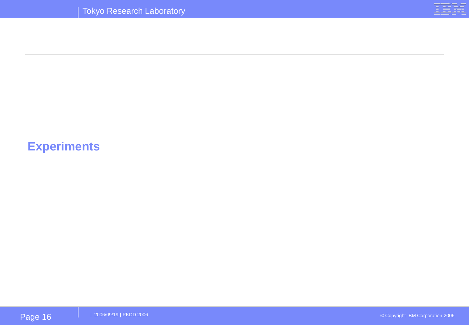

# **Experiments**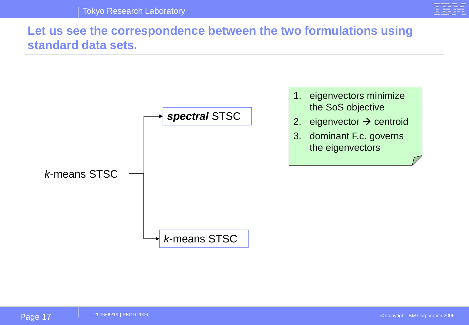

#### **Let us see the correspondence between the two formulations using standard data sets.**



- 1. eigenvectors minimize the SoS objective
- 2. eigenvector  $\rightarrow$  centroid
- 3. dominant F.c. governs the eigenvectors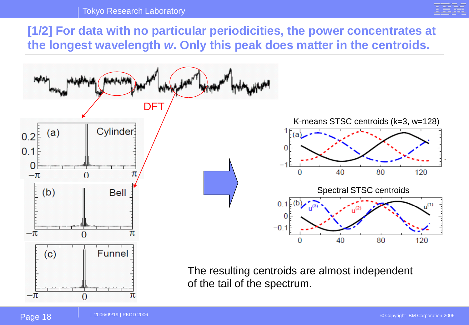#### Tokyo Research Laboratory



**[1/2] For data with no particular periodicities, the power concentrates at the longest wavelength** *w***. Only this peak does matter in the centroids.**

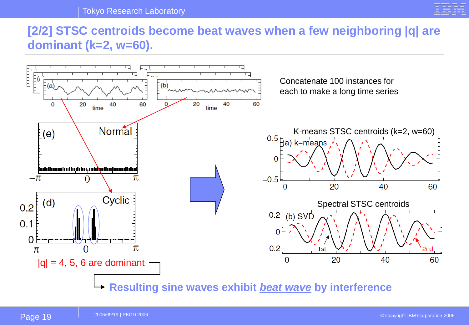

#### **[2/2] STSC centroids become beat waves when a few neighboring |q| are dominant (k=2, w=60).**

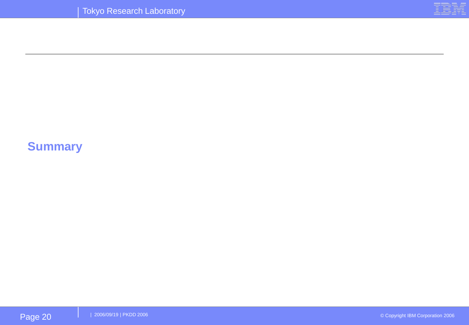

# **Summary**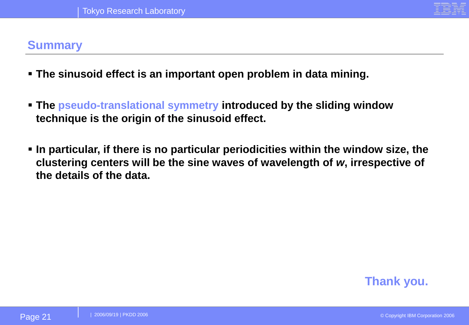

#### **Summary**

- **The sinusoid effect is an important open problem in data mining.**
- **The pseudo-translational symmetry introduced by the sliding window technique is the origin of the sinusoid effect.**
- **In particular, if there is no particular periodicities within the window size, the clustering centers will be the sine waves of wavelength of** *w***, irrespective of the details of the data.**

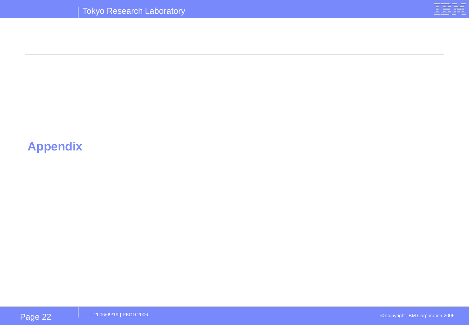

# **Appendix**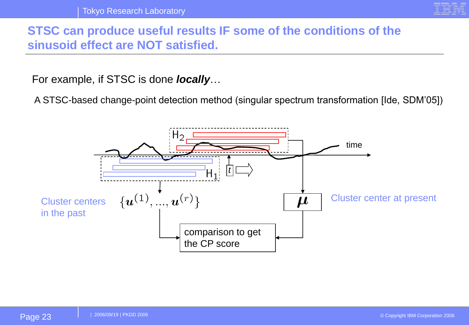

#### **STSC can produce useful results IF some of the conditions of the sinusoid effect are NOT satisfied.**

For example, if STSC is done *locally*…

A STSC-based change-point detection method (singular spectrum transformation [Ide, SDM'05])

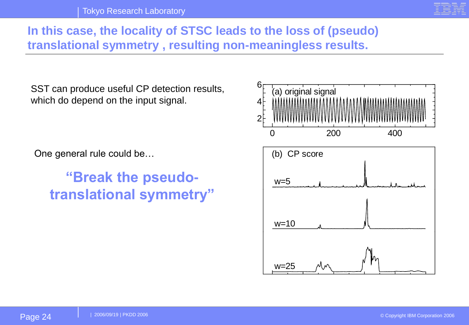

#### **In this case, the locality of STSC leads to the loss of (pseudo) translational symmetry , resulting non-meaningless results.**

SST can produce useful CP detection results, which do depend on the input signal.

One general rule could be…

**"Break the pseudotranslational symmetry"**